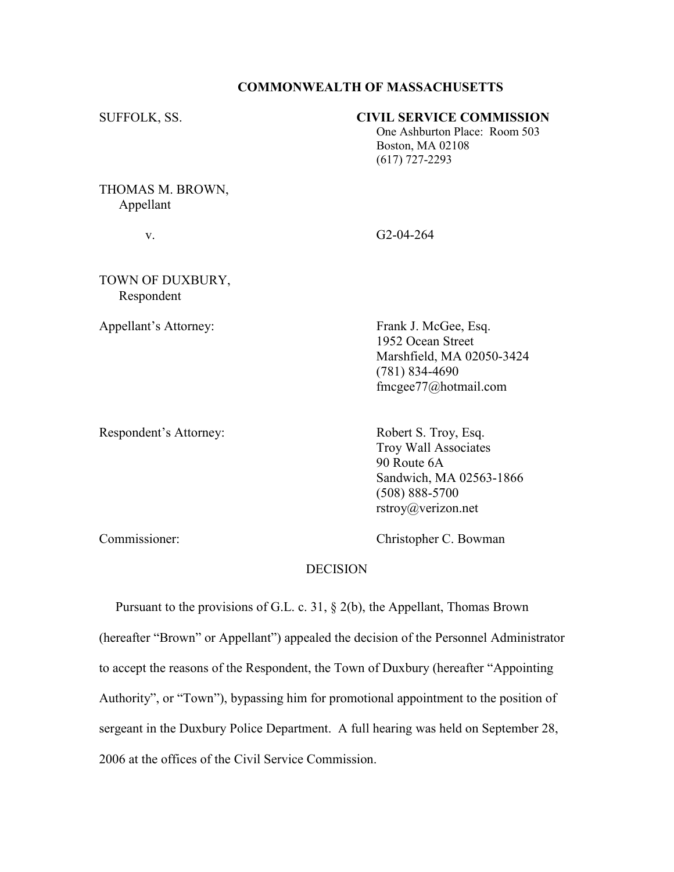## COMMONWEALTH OF MASSACHUSETTS

SUFFOLK, SS. CIVIL SERVICE COMMISSION One Ashburton Place: Room 503 Boston, MA 02108 (617) 727-2293

THOMAS M. BROWN, Appellant

v. G2-04-264

TOWN OF DUXBURY, Respondent

Appellant's Attorney: Frank J. McGee, Esq. 1952 Ocean Street Marshfield, MA 02050-3424 (781) 834-4690 fmcgee77@hotmail.com

Respondent's Attorney: Robert S. Troy, Esq.

 Troy Wall Associates 90 Route 6A Sandwich, MA 02563-1866 (508) 888-5700 rstroy@verizon.net

Commissioner: Christopher C. Bowman

## **DECISION**

 Pursuant to the provisions of G.L. c. 31, § 2(b), the Appellant, Thomas Brown (hereafter "Brown" or Appellant") appealed the decision of the Personnel Administrator to accept the reasons of the Respondent, the Town of Duxbury (hereafter "Appointing Authority", or "Town"), bypassing him for promotional appointment to the position of sergeant in the Duxbury Police Department. A full hearing was held on September 28, 2006 at the offices of the Civil Service Commission.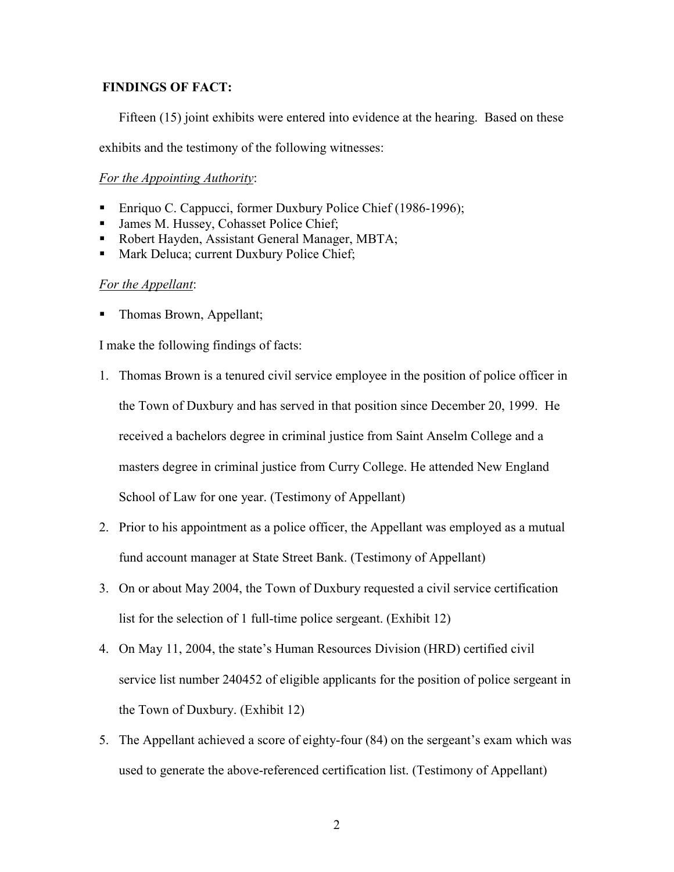## FINDINGS OF FACT:

Fifteen (15) joint exhibits were entered into evidence at the hearing. Based on these

exhibits and the testimony of the following witnesses:

# For the Appointing Authority:

- Enriquo C. Cappucci, former Duxbury Police Chief (1986-1996);
- Imes M. Hussey, Cohasset Police Chief;
- Robert Hayden, Assistant General Manager, MBTA:
- Mark Deluca; current Duxbury Police Chief;

## For the Appellant:

• Thomas Brown, Appellant;

I make the following findings of facts:

- 1. Thomas Brown is a tenured civil service employee in the position of police officer in the Town of Duxbury and has served in that position since December 20, 1999. He received a bachelors degree in criminal justice from Saint Anselm College and a masters degree in criminal justice from Curry College. He attended New England School of Law for one year. (Testimony of Appellant)
- 2. Prior to his appointment as a police officer, the Appellant was employed as a mutual fund account manager at State Street Bank. (Testimony of Appellant)
- 3. On or about May 2004, the Town of Duxbury requested a civil service certification list for the selection of 1 full-time police sergeant. (Exhibit 12)
- 4. On May 11, 2004, the state's Human Resources Division (HRD) certified civil service list number 240452 of eligible applicants for the position of police sergeant in the Town of Duxbury. (Exhibit 12)
- 5. The Appellant achieved a score of eighty-four (84) on the sergeant's exam which was used to generate the above-referenced certification list. (Testimony of Appellant)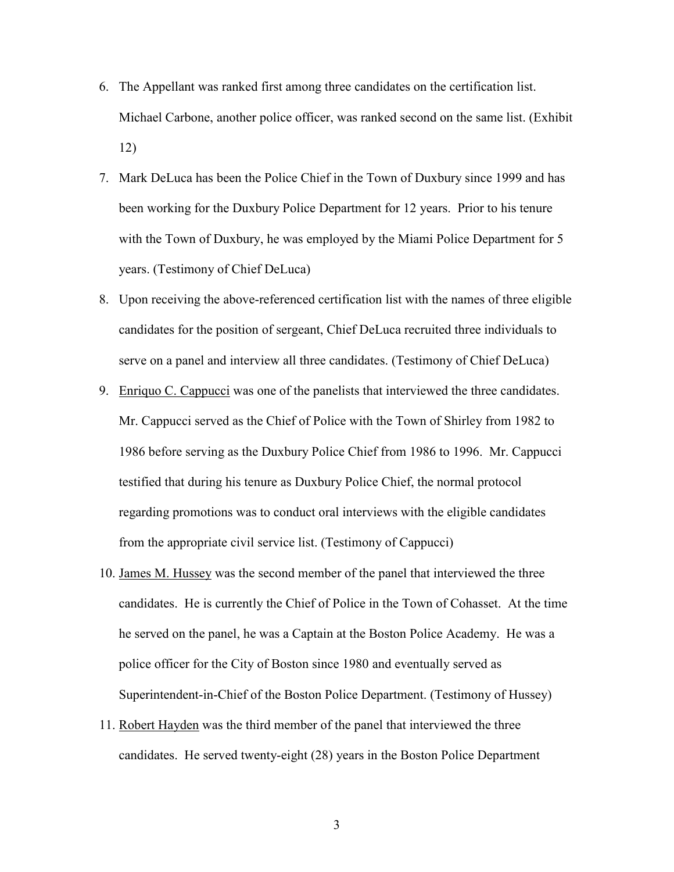- 6. The Appellant was ranked first among three candidates on the certification list. Michael Carbone, another police officer, was ranked second on the same list. (Exhibit 12)
- 7. Mark DeLuca has been the Police Chief in the Town of Duxbury since 1999 and has been working for the Duxbury Police Department for 12 years. Prior to his tenure with the Town of Duxbury, he was employed by the Miami Police Department for 5 years. (Testimony of Chief DeLuca)
- 8. Upon receiving the above-referenced certification list with the names of three eligible candidates for the position of sergeant, Chief DeLuca recruited three individuals to serve on a panel and interview all three candidates. (Testimony of Chief DeLuca)
- 9. Enriquo C. Cappucci was one of the panelists that interviewed the three candidates. Mr. Cappucci served as the Chief of Police with the Town of Shirley from 1982 to 1986 before serving as the Duxbury Police Chief from 1986 to 1996. Mr. Cappucci testified that during his tenure as Duxbury Police Chief, the normal protocol regarding promotions was to conduct oral interviews with the eligible candidates from the appropriate civil service list. (Testimony of Cappucci)
- 10. James M. Hussey was the second member of the panel that interviewed the three candidates. He is currently the Chief of Police in the Town of Cohasset. At the time he served on the panel, he was a Captain at the Boston Police Academy. He was a police officer for the City of Boston since 1980 and eventually served as Superintendent-in-Chief of the Boston Police Department. (Testimony of Hussey)
- 11. Robert Hayden was the third member of the panel that interviewed the three candidates. He served twenty-eight (28) years in the Boston Police Department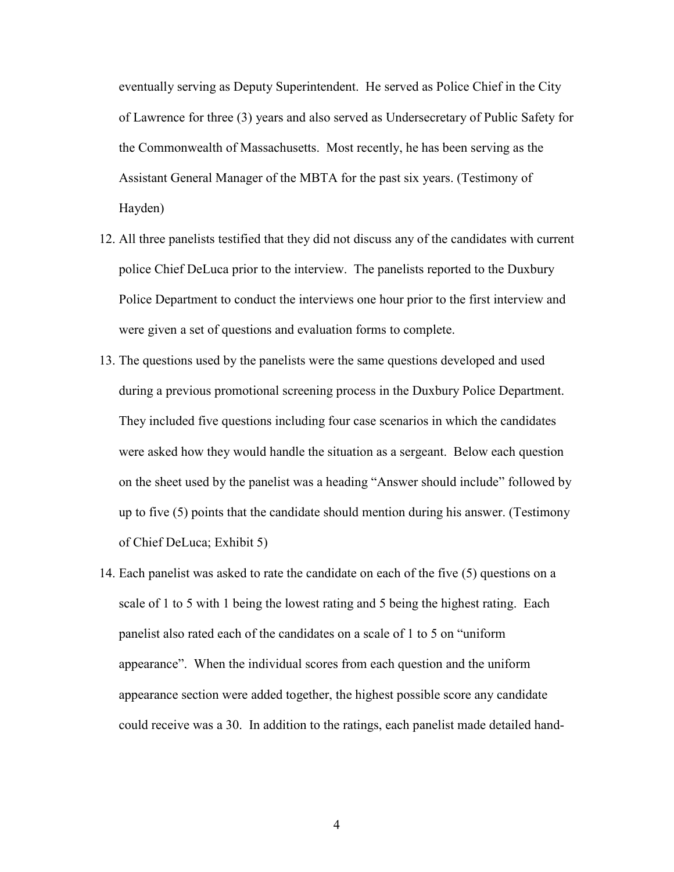eventually serving as Deputy Superintendent. He served as Police Chief in the City of Lawrence for three (3) years and also served as Undersecretary of Public Safety for the Commonwealth of Massachusetts. Most recently, he has been serving as the Assistant General Manager of the MBTA for the past six years. (Testimony of Hayden)

- 12. All three panelists testified that they did not discuss any of the candidates with current police Chief DeLuca prior to the interview. The panelists reported to the Duxbury Police Department to conduct the interviews one hour prior to the first interview and were given a set of questions and evaluation forms to complete.
- 13. The questions used by the panelists were the same questions developed and used during a previous promotional screening process in the Duxbury Police Department. They included five questions including four case scenarios in which the candidates were asked how they would handle the situation as a sergeant. Below each question on the sheet used by the panelist was a heading "Answer should include" followed by up to five (5) points that the candidate should mention during his answer. (Testimony of Chief DeLuca; Exhibit 5)
- 14. Each panelist was asked to rate the candidate on each of the five (5) questions on a scale of 1 to 5 with 1 being the lowest rating and 5 being the highest rating. Each panelist also rated each of the candidates on a scale of 1 to 5 on "uniform appearance". When the individual scores from each question and the uniform appearance section were added together, the highest possible score any candidate could receive was a 30. In addition to the ratings, each panelist made detailed hand-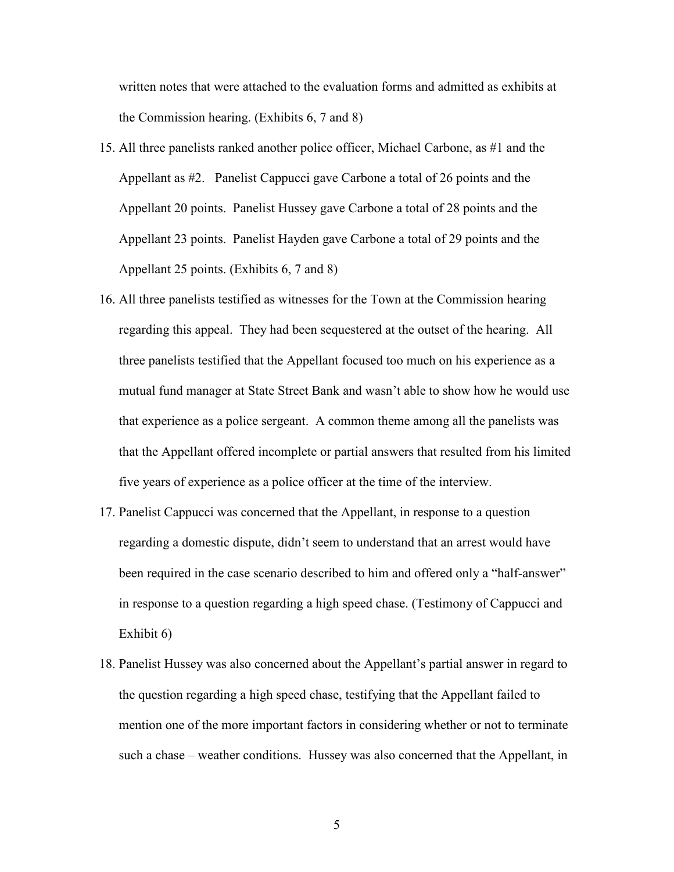written notes that were attached to the evaluation forms and admitted as exhibits at the Commission hearing. (Exhibits 6, 7 and 8)

- 15. All three panelists ranked another police officer, Michael Carbone, as #1 and the Appellant as #2. Panelist Cappucci gave Carbone a total of 26 points and the Appellant 20 points. Panelist Hussey gave Carbone a total of 28 points and the Appellant 23 points. Panelist Hayden gave Carbone a total of 29 points and the Appellant 25 points. (Exhibits 6, 7 and 8)
- 16. All three panelists testified as witnesses for the Town at the Commission hearing regarding this appeal. They had been sequestered at the outset of the hearing. All three panelists testified that the Appellant focused too much on his experience as a mutual fund manager at State Street Bank and wasn't able to show how he would use that experience as a police sergeant. A common theme among all the panelists was that the Appellant offered incomplete or partial answers that resulted from his limited five years of experience as a police officer at the time of the interview.
- 17. Panelist Cappucci was concerned that the Appellant, in response to a question regarding a domestic dispute, didn't seem to understand that an arrest would have been required in the case scenario described to him and offered only a "half-answer" in response to a question regarding a high speed chase. (Testimony of Cappucci and Exhibit 6)
- 18. Panelist Hussey was also concerned about the Appellant's partial answer in regard to the question regarding a high speed chase, testifying that the Appellant failed to mention one of the more important factors in considering whether or not to terminate such a chase – weather conditions. Hussey was also concerned that the Appellant, in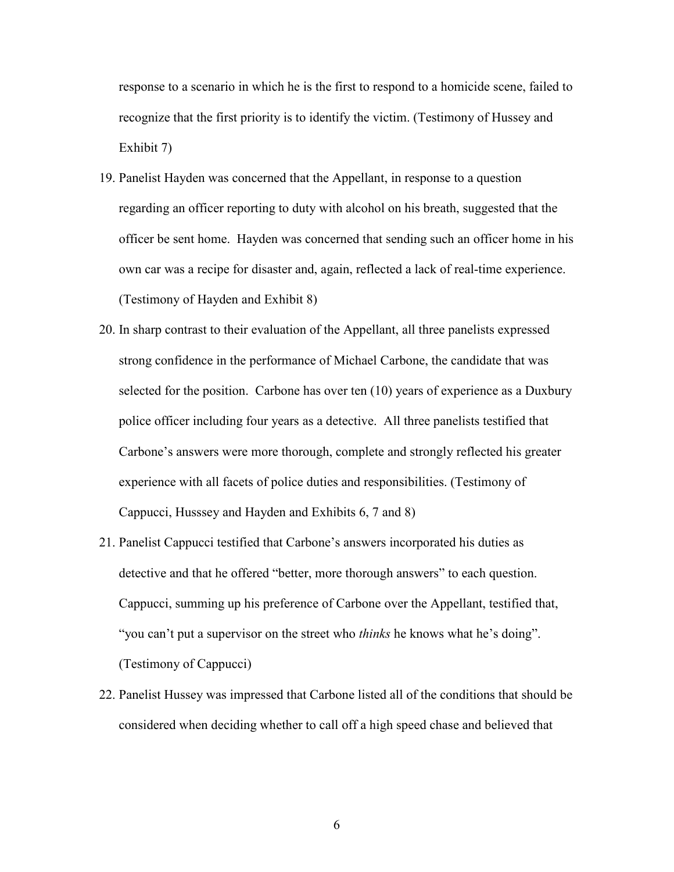response to a scenario in which he is the first to respond to a homicide scene, failed to recognize that the first priority is to identify the victim. (Testimony of Hussey and Exhibit 7)

- 19. Panelist Hayden was concerned that the Appellant, in response to a question regarding an officer reporting to duty with alcohol on his breath, suggested that the officer be sent home. Hayden was concerned that sending such an officer home in his own car was a recipe for disaster and, again, reflected a lack of real-time experience. (Testimony of Hayden and Exhibit 8)
- 20. In sharp contrast to their evaluation of the Appellant, all three panelists expressed strong confidence in the performance of Michael Carbone, the candidate that was selected for the position. Carbone has over ten (10) years of experience as a Duxbury police officer including four years as a detective. All three panelists testified that Carbone's answers were more thorough, complete and strongly reflected his greater experience with all facets of police duties and responsibilities. (Testimony of Cappucci, Husssey and Hayden and Exhibits 6, 7 and 8)
- 21. Panelist Cappucci testified that Carbone's answers incorporated his duties as detective and that he offered "better, more thorough answers" to each question. Cappucci, summing up his preference of Carbone over the Appellant, testified that, "you can't put a supervisor on the street who *thinks* he knows what he's doing". (Testimony of Cappucci)
- 22. Panelist Hussey was impressed that Carbone listed all of the conditions that should be considered when deciding whether to call off a high speed chase and believed that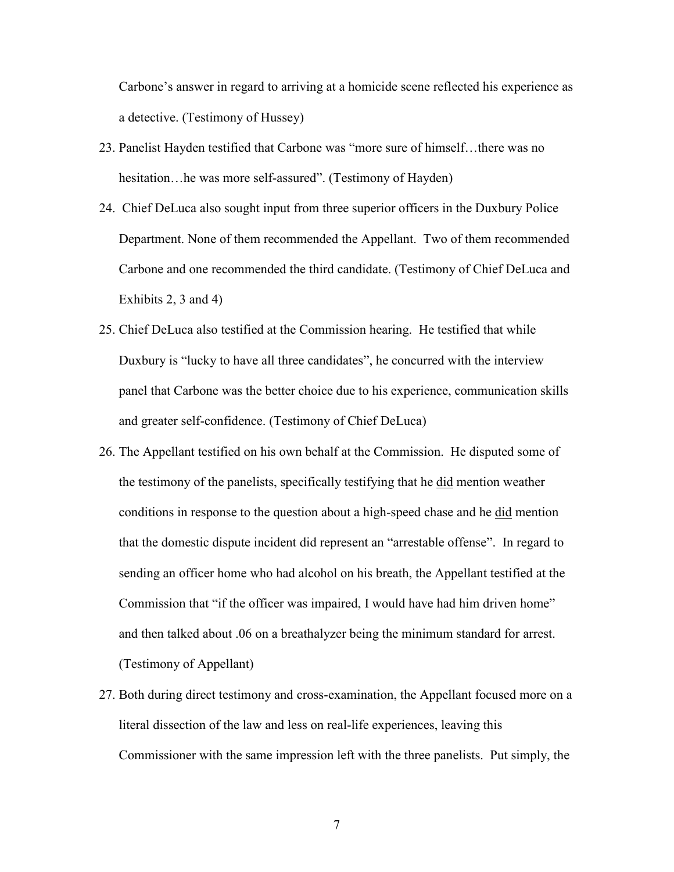Carbone's answer in regard to arriving at a homicide scene reflected his experience as a detective. (Testimony of Hussey)

- 23. Panelist Hayden testified that Carbone was "more sure of himself…there was no hesitation...he was more self-assured". (Testimony of Hayden)
- 24. Chief DeLuca also sought input from three superior officers in the Duxbury Police Department. None of them recommended the Appellant. Two of them recommended Carbone and one recommended the third candidate. (Testimony of Chief DeLuca and Exhibits 2, 3 and 4)
- 25. Chief DeLuca also testified at the Commission hearing. He testified that while Duxbury is "lucky to have all three candidates", he concurred with the interview panel that Carbone was the better choice due to his experience, communication skills and greater self-confidence. (Testimony of Chief DeLuca)
- 26. The Appellant testified on his own behalf at the Commission. He disputed some of the testimony of the panelists, specifically testifying that he did mention weather conditions in response to the question about a high-speed chase and he did mention that the domestic dispute incident did represent an "arrestable offense". In regard to sending an officer home who had alcohol on his breath, the Appellant testified at the Commission that "if the officer was impaired, I would have had him driven home" and then talked about .06 on a breathalyzer being the minimum standard for arrest. (Testimony of Appellant)
- 27. Both during direct testimony and cross-examination, the Appellant focused more on a literal dissection of the law and less on real-life experiences, leaving this Commissioner with the same impression left with the three panelists. Put simply, the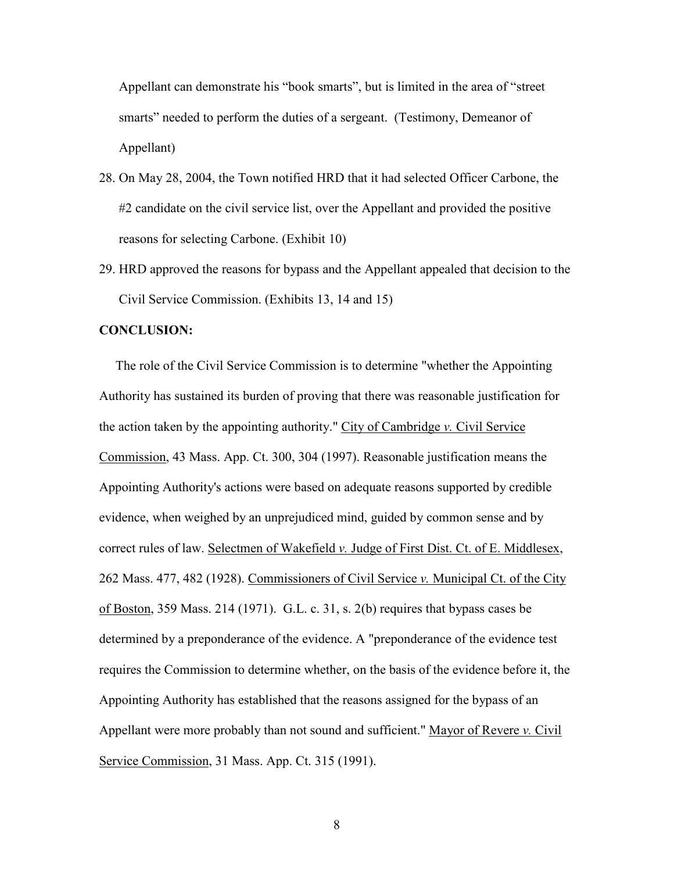Appellant can demonstrate his "book smarts", but is limited in the area of "street smarts" needed to perform the duties of a sergeant. (Testimony, Demeanor of Appellant)

- 28. On May 28, 2004, the Town notified HRD that it had selected Officer Carbone, the #2 candidate on the civil service list, over the Appellant and provided the positive reasons for selecting Carbone. (Exhibit 10)
- 29. HRD approved the reasons for bypass and the Appellant appealed that decision to the Civil Service Commission. (Exhibits 13, 14 and 15)

## CONCLUSION:

 The role of the Civil Service Commission is to determine "whether the Appointing Authority has sustained its burden of proving that there was reasonable justification for the action taken by the appointing authority." City of Cambridge  $\nu$ . Civil Service Commission, 43 Mass. App. Ct. 300, 304 (1997). Reasonable justification means the Appointing Authority's actions were based on adequate reasons supported by credible evidence, when weighed by an unprejudiced mind, guided by common sense and by correct rules of law. Selectmen of Wakefield v. Judge of First Dist. Ct. of E. Middlesex, 262 Mass. 477, 482 (1928). Commissioners of Civil Service v. Municipal Ct. of the City of Boston, 359 Mass. 214 (1971). G.L. c. 31, s. 2(b) requires that bypass cases be determined by a preponderance of the evidence. A "preponderance of the evidence test requires the Commission to determine whether, on the basis of the evidence before it, the Appointing Authority has established that the reasons assigned for the bypass of an Appellant were more probably than not sound and sufficient." Mayor of Revere v. Civil Service Commission, 31 Mass. App. Ct. 315 (1991).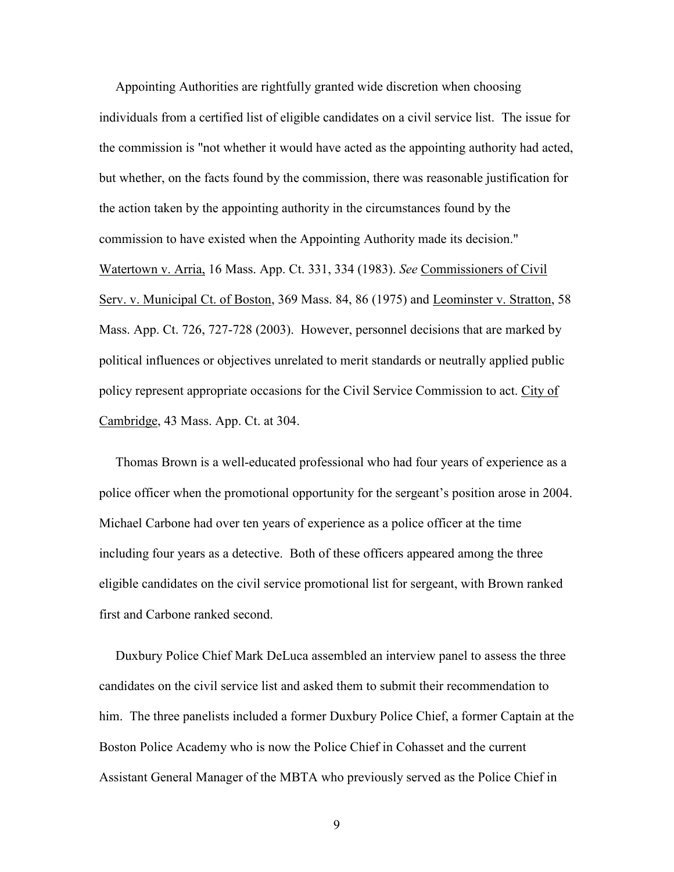Appointing Authorities are rightfully granted wide discretion when choosing individuals from a certified list of eligible candidates on a civil service list. The issue for the commission is "not whether it would have acted as the appointing authority had acted, but whether, on the facts found by the commission, there was reasonable justification for the action taken by the appointing authority in the circumstances found by the commission to have existed when the Appointing Authority made its decision." Watertown v. Arria, 16 Mass. App. Ct. 331, 334 (1983). See Commissioners of Civil Serv. v. Municipal Ct. of Boston, 369 Mass. 84, 86 (1975) and Leominster v. Stratton, 58 Mass. App. Ct. 726, 727-728 (2003). However, personnel decisions that are marked by political influences or objectives unrelated to merit standards or neutrally applied public policy represent appropriate occasions for the Civil Service Commission to act. City of Cambridge, 43 Mass. App. Ct. at 304.

 Thomas Brown is a well-educated professional who had four years of experience as a police officer when the promotional opportunity for the sergeant's position arose in 2004. Michael Carbone had over ten years of experience as a police officer at the time including four years as a detective. Both of these officers appeared among the three eligible candidates on the civil service promotional list for sergeant, with Brown ranked first and Carbone ranked second.

 Duxbury Police Chief Mark DeLuca assembled an interview panel to assess the three candidates on the civil service list and asked them to submit their recommendation to him. The three panelists included a former Duxbury Police Chief, a former Captain at the Boston Police Academy who is now the Police Chief in Cohasset and the current Assistant General Manager of the MBTA who previously served as the Police Chief in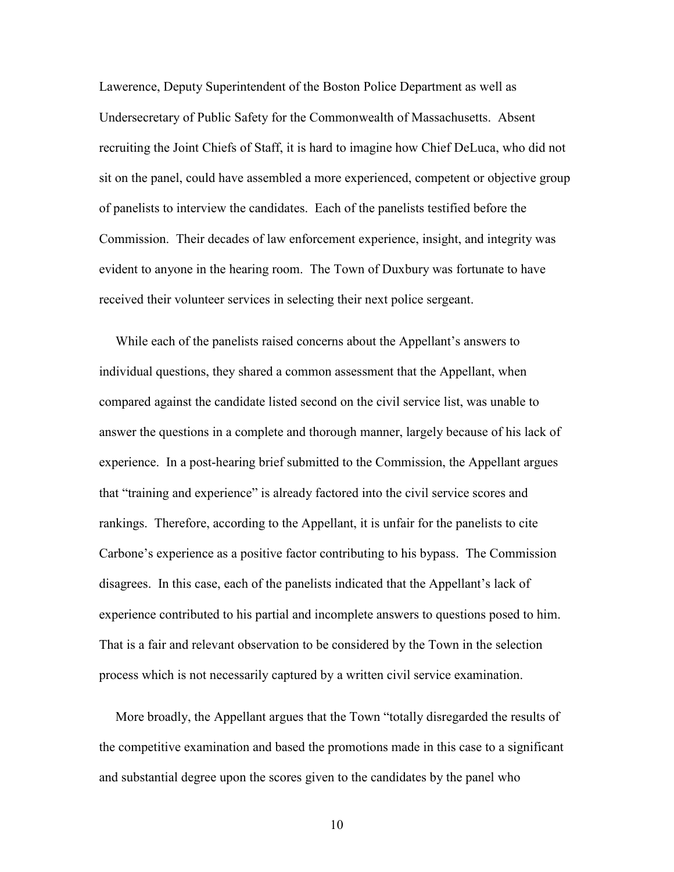Lawerence, Deputy Superintendent of the Boston Police Department as well as Undersecretary of Public Safety for the Commonwealth of Massachusetts. Absent recruiting the Joint Chiefs of Staff, it is hard to imagine how Chief DeLuca, who did not sit on the panel, could have assembled a more experienced, competent or objective group of panelists to interview the candidates. Each of the panelists testified before the Commission. Their decades of law enforcement experience, insight, and integrity was evident to anyone in the hearing room. The Town of Duxbury was fortunate to have received their volunteer services in selecting their next police sergeant.

 While each of the panelists raised concerns about the Appellant's answers to individual questions, they shared a common assessment that the Appellant, when compared against the candidate listed second on the civil service list, was unable to answer the questions in a complete and thorough manner, largely because of his lack of experience. In a post-hearing brief submitted to the Commission, the Appellant argues that "training and experience" is already factored into the civil service scores and rankings. Therefore, according to the Appellant, it is unfair for the panelists to cite Carbone's experience as a positive factor contributing to his bypass. The Commission disagrees. In this case, each of the panelists indicated that the Appellant's lack of experience contributed to his partial and incomplete answers to questions posed to him. That is a fair and relevant observation to be considered by the Town in the selection process which is not necessarily captured by a written civil service examination.

 More broadly, the Appellant argues that the Town "totally disregarded the results of the competitive examination and based the promotions made in this case to a significant and substantial degree upon the scores given to the candidates by the panel who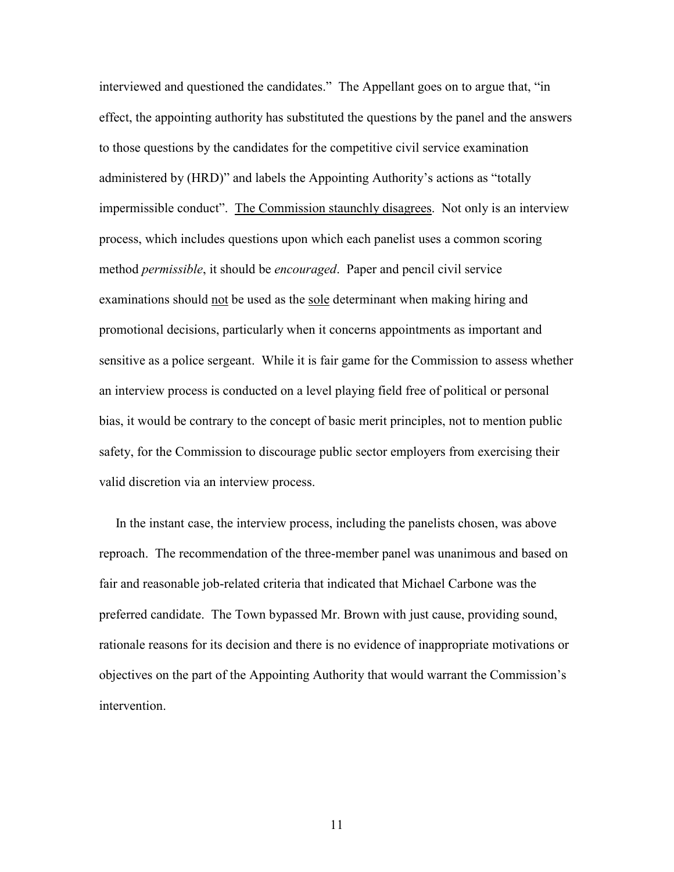interviewed and questioned the candidates." The Appellant goes on to argue that, "in effect, the appointing authority has substituted the questions by the panel and the answers to those questions by the candidates for the competitive civil service examination administered by (HRD)" and labels the Appointing Authority's actions as "totally impermissible conduct". The Commission staunchly disagrees. Not only is an interview process, which includes questions upon which each panelist uses a common scoring method *permissible*, it should be *encouraged*. Paper and pencil civil service examinations should not be used as the sole determinant when making hiring and promotional decisions, particularly when it concerns appointments as important and sensitive as a police sergeant. While it is fair game for the Commission to assess whether an interview process is conducted on a level playing field free of political or personal bias, it would be contrary to the concept of basic merit principles, not to mention public safety, for the Commission to discourage public sector employers from exercising their valid discretion via an interview process.

 In the instant case, the interview process, including the panelists chosen, was above reproach. The recommendation of the three-member panel was unanimous and based on fair and reasonable job-related criteria that indicated that Michael Carbone was the preferred candidate. The Town bypassed Mr. Brown with just cause, providing sound, rationale reasons for its decision and there is no evidence of inappropriate motivations or objectives on the part of the Appointing Authority that would warrant the Commission's intervention.